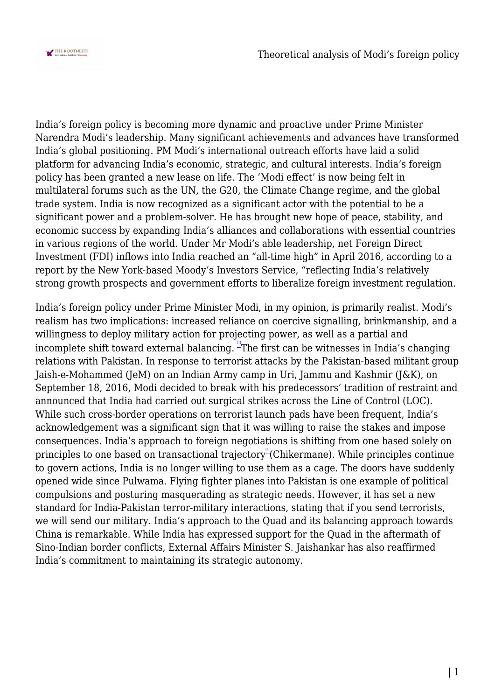

India's foreign policy is becoming more dynamic and proactive under Prime Minister Narendra Modi's leadership. Many significant achievements and advances have transformed India's global positioning. PM Modi's international outreach efforts have laid a solid platform for advancing India's economic, strategic, and cultural interests. India's foreign policy has been granted a new lease on life. The 'Modi effect' is now being felt in multilateral forums such as the UN, the G20, the Climate Change regime, and the global trade system. India is now recognized as a significant actor with the potential to be a significant power and a problem-solver. He has brought new hope of peace, stability, and economic success by expanding India's alliances and collaborations with essential countries in various regions of the world. Under Mr Modi's able leadership, net Foreign Direct Investment (FDI) inflows into India reached an "all-time high" in April 2016, according to a report by the New York-based Moody's Investors Service, "reflecting India's relatively strong growth prospects and government efforts to liberalize foreign investment regulation.

India's foreign policy under Prime Minister Modi, in my opinion, is primarily realist. Modi's realism has two implications: increased reliance on coercive signalling, brinkmanship, and a willingness to deploy military action for projecting power, as well as a partial and incomplete shift toward external balancing. <sup>"</sup>The first can be witnesses in India's changing relations with Pakistan. In response to terrorist attacks by the Pakistan-based militant group Jaish-e-Mohammed (JeM) on an Indian Army camp in Uri, Jammu and Kashmir (J&K), on September 18, 2016, Modi decided to break with his predecessors' tradition of restraint and announced that India had carried out surgical strikes across the Line of Control (LOC). While such cross-border operations on terrorist launch pads have been frequent, India's acknowledgement was a significant sign that it was willing to raise the stakes and impose consequences. India's approach to foreign negotiations is shifting from one based solely on principles to one based on transactional trajectory (Chikermane). While principles continue to govern actions, India is no longer willing to use them as a cage. The doors have suddenly opened wide since Pulwama. Flying fighter planes into Pakistan is one example of political compulsions and posturing masquerading as strategic needs. However, it has set a new standard for India-Pakistan terror-military interactions, stating that if you send terrorists, we will send our military. India's approach to the Quad and its balancing approach towards China is remarkable. While India has expressed support for the Quad in the aftermath of Sino-Indian border conflicts, External Affairs Minister S. Jaishankar has also reaffirmed India's commitment to maintaining its strategic autonomy.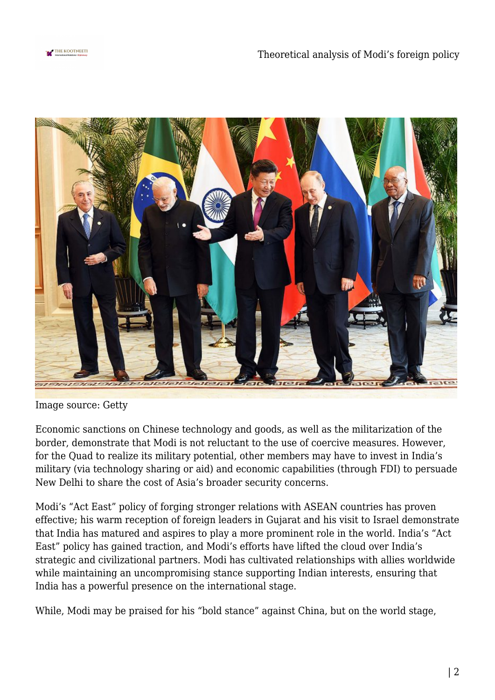



Image source: Getty

Economic sanctions on Chinese technology and goods, as well as the militarization of the border, demonstrate that Modi is not reluctant to the use of coercive measures. However, for the Quad to realize its military potential, other members may have to invest in India's military (via technology sharing or aid) and economic capabilities (through FDI) to persuade New Delhi to share the cost of Asia's broader security concerns.

Modi's "Act East" policy of forging stronger relations with ASEAN countries has proven effective; his warm reception of foreign leaders in Gujarat and his visit to Israel demonstrate that India has matured and aspires to play a more prominent role in the world. India's "Act East" policy has gained traction, and Modi's efforts have lifted the cloud over India's strategic and civilizational partners. Modi has cultivated relationships with allies worldwide while maintaining an uncompromising stance supporting Indian interests, ensuring that India has a powerful presence on the international stage.

While, Modi may be praised for his "bold stance" against China, but on the world stage,